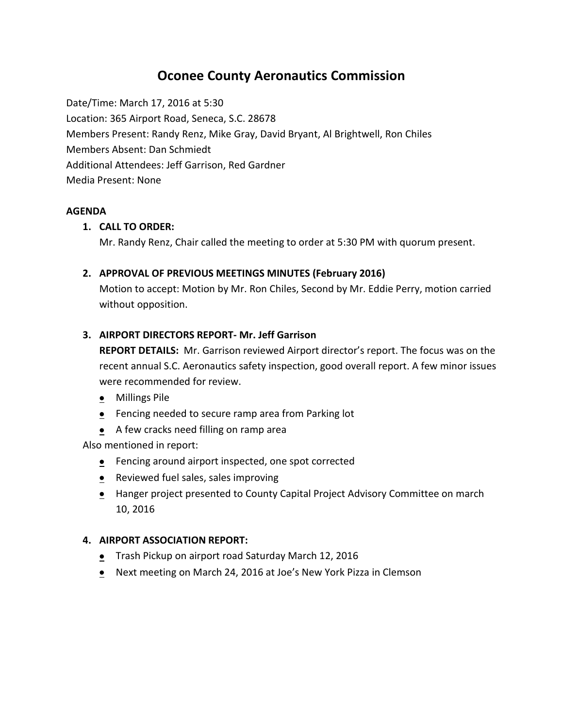# **Oconee County Aeronautics Commission**

Date/Time: March 17, 2016 at 5:30 Location: 365 Airport Road, Seneca, S.C. 28678 Members Present: Randy Renz, Mike Gray, David Bryant, Al Brightwell, Ron Chiles Members Absent: Dan Schmiedt Additional Attendees: Jeff Garrison, Red Gardner Media Present: None

## **AGENDA**

# **1. CALL TO ORDER:**

Mr. Randy Renz, Chair called the meeting to order at 5:30 PM with quorum present.

# **2. APPROVAL OF PREVIOUS MEETINGS MINUTES (February 2016)**

Motion to accept: Motion by Mr. Ron Chiles, Second by Mr. Eddie Perry, motion carried without opposition.

# **3. AIRPORT DIRECTORS REPORT- Mr. Jeff Garrison**

**REPORT DETAILS:** Mr. Garrison reviewed Airport director's report. The focus was on the recent annual S.C. Aeronautics safety inspection, good overall report. A few minor issues were recommended for review.

- Millings Pile
- Fencing needed to secure ramp area from Parking lot
- A few cracks need filling on ramp area

Also mentioned in report:

- **•** Fencing around airport inspected, one spot corrected
- Reviewed fuel sales, sales improving
- Hanger project presented to County Capital Project Advisory Committee on march 10, 2016

## **4. AIRPORT ASSOCIATION REPORT:**

- **•** Trash Pickup on airport road Saturday March 12, 2016
- Next meeting on March 24, 2016 at Joe's New York Pizza in Clemson